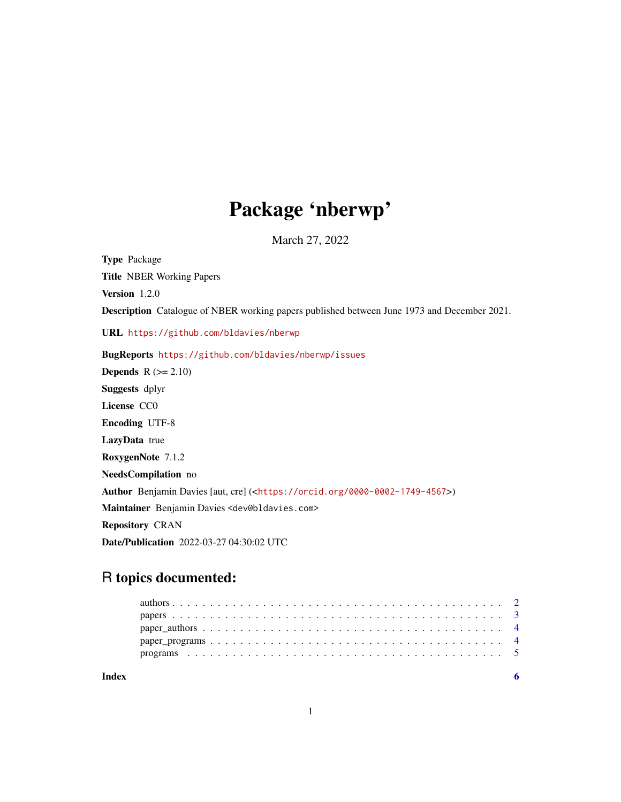## Package 'nberwp'

March 27, 2022

Type Package Title NBER Working Papers Version 1.2.0 Description Catalogue of NBER working papers published between June 1973 and December 2021. URL <https://github.com/bldavies/nberwp> BugReports <https://github.com/bldavies/nberwp/issues> **Depends**  $R$  ( $>= 2.10$ ) Suggests dplyr License CC0 Encoding UTF-8 LazyData true RoxygenNote 7.1.2 NeedsCompilation no Author Benjamin Davies [aut, cre] (<<https://orcid.org/0000-0002-1749-4567>>) Maintainer Benjamin Davies <dev@bldavies.com> Repository CRAN Date/Publication 2022-03-27 04:30:02 UTC

## R topics documented:

| Index |  |
|-------|--|
|       |  |
|       |  |
|       |  |
|       |  |
|       |  |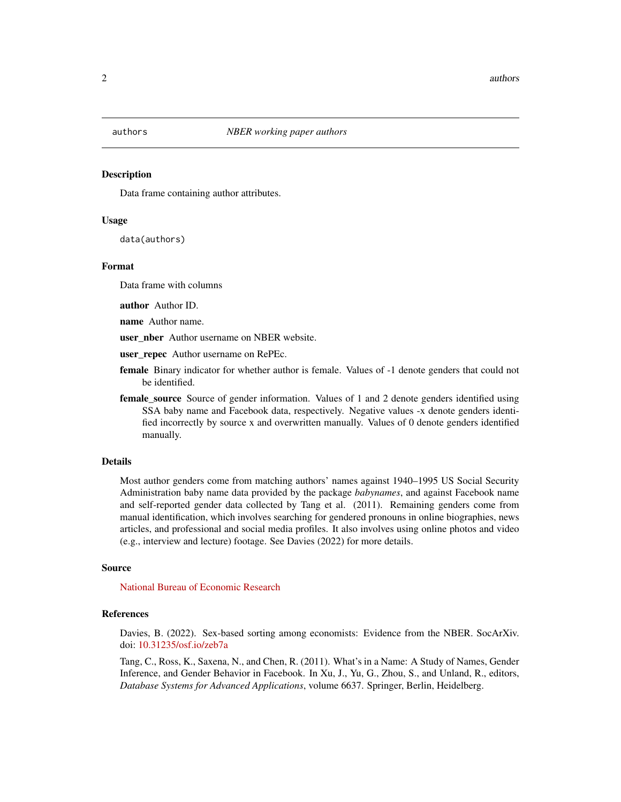<span id="page-1-0"></span>

## Description

Data frame containing author attributes.

## Usage

data(authors)

## Format

Data frame with columns

author Author ID.

name Author name.

user\_nber Author username on NBER website.

user repec Author username on RePEc.

- female Binary indicator for whether author is female. Values of -1 denote genders that could not be identified.
- **female\_source** Source of gender information. Values of 1 and 2 denote genders identified using SSA baby name and Facebook data, respectively. Negative values -x denote genders identified incorrectly by source x and overwritten manually. Values of 0 denote genders identified manually.

#### Details

Most author genders come from matching authors' names against 1940–1995 US Social Security Administration baby name data provided by the package *babynames*, and against Facebook name and self-reported gender data collected by Tang et al. (2011). Remaining genders come from manual identification, which involves searching for gendered pronouns in online biographies, news articles, and professional and social media profiles. It also involves using online photos and video (e.g., interview and lecture) footage. See Davies (2022) for more details.

#### Source

[National Bureau of Economic Research](https://data.nber.org/nber-wp-logs/)

#### References

Davies, B. (2022). Sex-based sorting among economists: Evidence from the NBER. SocArXiv. doi: [10.31235/osf.io/zeb7a](https://doi.org/10.31235/osf.io/zeb7a)

Tang, C., Ross, K., Saxena, N., and Chen, R. (2011). What's in a Name: A Study of Names, Gender Inference, and Gender Behavior in Facebook. In Xu, J., Yu, G., Zhou, S., and Unland, R., editors, *Database Systems for Advanced Applications*, volume 6637. Springer, Berlin, Heidelberg.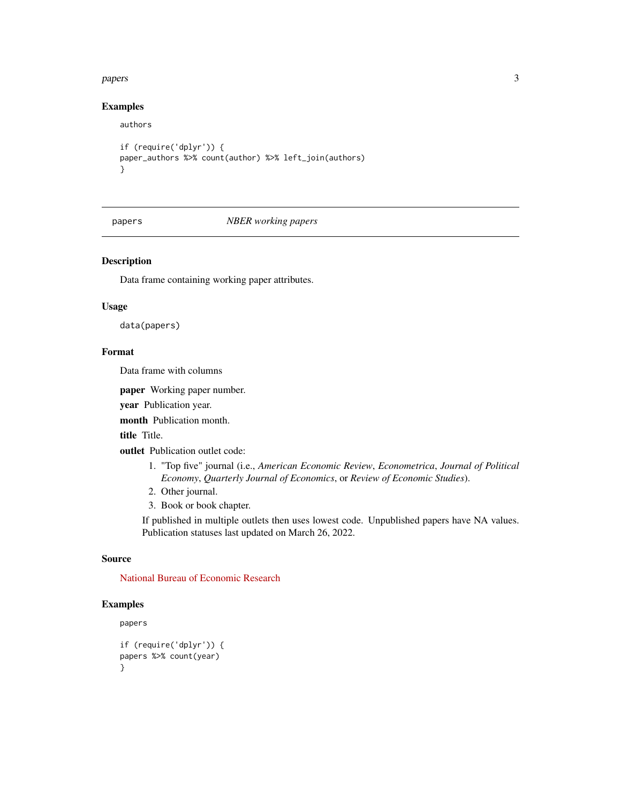## <span id="page-2-0"></span>papers 3

## Examples

authors

```
if (require('dplyr')) {
paper_authors %>% count(author) %>% left_join(authors)
}
```
papers *NBER working papers*

## Description

Data frame containing working paper attributes.

## Usage

data(papers)

## Format

Data frame with columns

paper Working paper number.

year Publication year.

month Publication month.

title Title.

outlet Publication outlet code:

- 1. "Top five" journal (i.e., *American Economic Review*, *Econometrica*, *Journal of Political Economy*, *Quarterly Journal of Economics*, or *Review of Economic Studies*).
- 2. Other journal.
- 3. Book or book chapter.

If published in multiple outlets then uses lowest code. Unpublished papers have NA values. Publication statuses last updated on March 26, 2022.

## Source

[National Bureau of Economic Research](https://data.nber.org/nber-wp-logs/)

## Examples

papers

```
if (require('dplyr')) {
papers %>% count(year)
}
```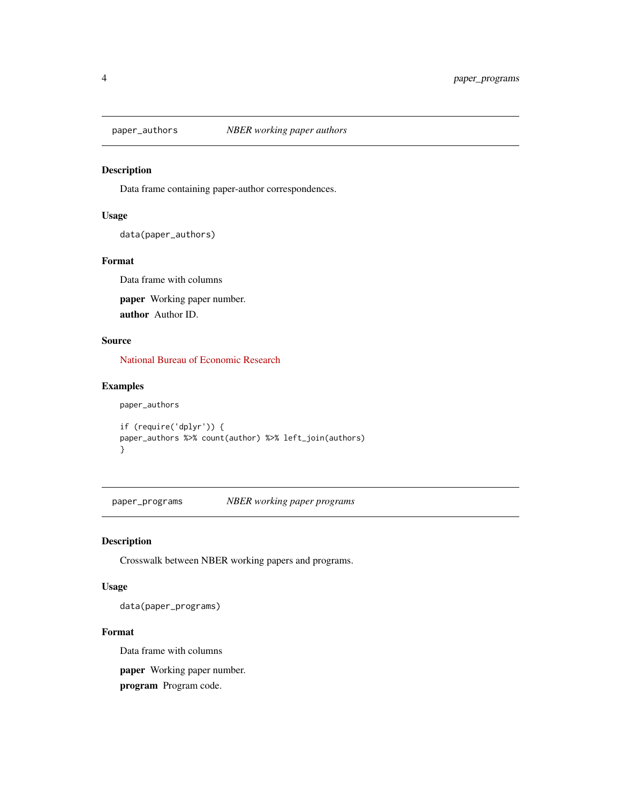<span id="page-3-0"></span>

## Description

Data frame containing paper-author correspondences.

## Usage

data(paper\_authors)

## Format

Data frame with columns paper Working paper number. author Author ID.

## Source

[National Bureau of Economic Research](https://data.nber.org/nber-wp-logs/)

## Examples

paper\_authors

```
if (require('dplyr')) {
paper_authors %>% count(author) %>% left_join(authors)
}
```
paper\_programs *NBER working paper programs*

## Description

Crosswalk between NBER working papers and programs.

## Usage

data(paper\_programs)

## Format

Data frame with columns

paper Working paper number.

program Program code.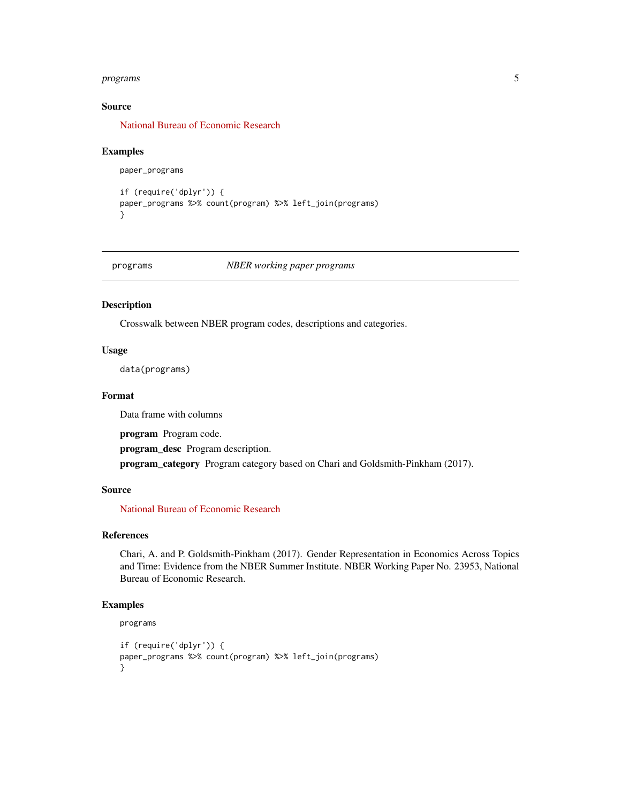## <span id="page-4-0"></span>programs 5

## Source

[National Bureau of Economic Research](https://data.nber.org/nber-wp-logs/)

## Examples

paper\_programs

```
if (require('dplyr')) {
paper_programs %>% count(program) %>% left_join(programs)
}
```
programs *NBER working paper programs*

## Description

Crosswalk between NBER program codes, descriptions and categories.

## Usage

data(programs)

## Format

Data frame with columns

program Program code.

program\_desc Program description.

program\_category Program category based on Chari and Goldsmith-Pinkham (2017).

## Source

[National Bureau of Economic Research](https://www.nber.org)

## References

Chari, A. and P. Goldsmith-Pinkham (2017). Gender Representation in Economics Across Topics and Time: Evidence from the NBER Summer Institute. NBER Working Paper No. 23953, National Bureau of Economic Research.

## Examples

```
programs
```

```
if (require('dplyr')) {
paper_programs %>% count(program) %>% left_join(programs)
}
```